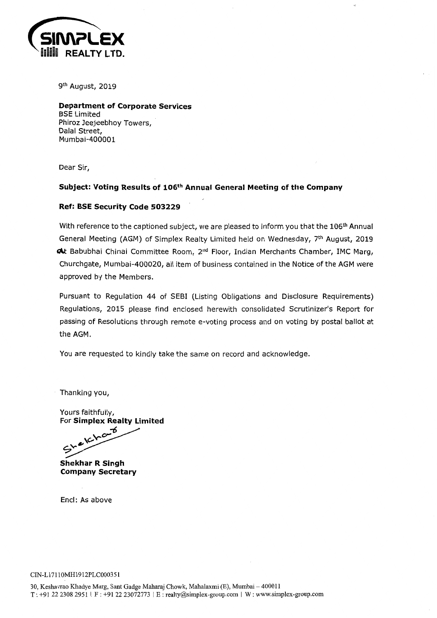

<sup>th</sup> August, 2019

Department of Corporate Services BSE Limited Phiroz Jeejeebhoy Towers, Dalal Street, Mumbai-400001

Dear Sir,

### Subject: Voting Results of 106th Annual General Meeting of the Company

### Ref: BSE Security Code 503229

With reference to the captioned subject, we are pleased to inform you that the 106<sup>th</sup> Annual General Meeting (AGM) of Simplex Realty Limited held on Wednesday, 7<sup>th</sup> August, 2019 **At Babubhai Chinai Committee Room, 2<sup>nd</sup> Floor, Indian Merchants Chamber, IMC Marg,** Churchgate, Mumbai-400020, all item of business contained in the Notice of the AGM were approved by the Members.

Pursuant to Regulation 44 of SEBI (Listing Obligations and Disclosure Requirements) Regulations, 2015 please find enclosed herewith consolidated Scrutinizer's Report for passing of Resolutions through remote e-voting process and on voting by postal ballot at the AGM.

You are requested to kindly take the same on record and acknowledge.

Thanking you,

Yours faithfully, For Simplex Realty Limited

-6 ...<u>.</u><br>-C:?Vo

Shekhar R Singh Company Secretary

Encl: As above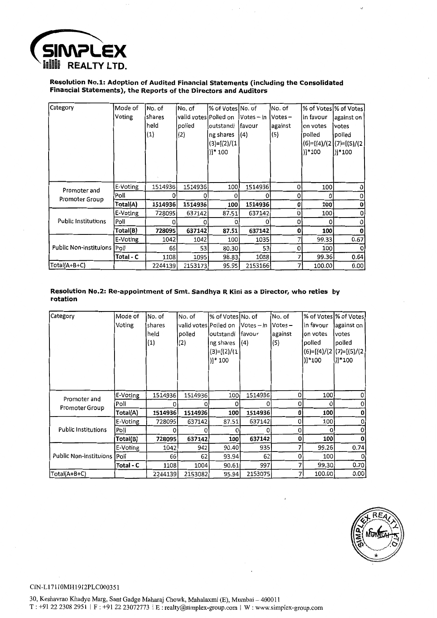

### **Resolution No.1: Adoption of Audited Financial Statements (including the Consolidated Financial Statements), the Reports of the Directors and Auditors**

| Category                      | Mode of<br>Voting | No. of<br><b>Ishares</b><br>held<br>$\left( 1\right)$ | No. of<br>valid votes Polled on<br>polled<br>(2) | l% of Votes No. of<br>outstandi<br>ng shares<br>$(3)=[(2)/(1)$<br>$)]*100$ | $Votes - in$<br>lfavour<br>(4) | No. of<br>$Votes -$<br>against<br>(5) | % of Votes % of Votes <br>in favour<br>on votes<br>polled<br>$(6)=[(4)/(2](7)=[(5)/(2)$<br>)]*100 | against on<br><b>votes</b><br>polled<br> )]*100 |
|-------------------------------|-------------------|-------------------------------------------------------|--------------------------------------------------|----------------------------------------------------------------------------|--------------------------------|---------------------------------------|---------------------------------------------------------------------------------------------------|-------------------------------------------------|
|                               |                   |                                                       |                                                  |                                                                            |                                |                                       |                                                                                                   |                                                 |
| Promoter and                  | E-Voting          | 1514936                                               | 1514936                                          | 100                                                                        | 1514936                        | $\Omega$                              | 100                                                                                               |                                                 |
| Promoter Group                | Poll              | 0                                                     |                                                  | O                                                                          | 0                              | 0                                     | 0                                                                                                 |                                                 |
|                               | Total(A)          | 1514936                                               | 1514936                                          | 100                                                                        | 1514936                        | 0                                     | 100                                                                                               |                                                 |
|                               | E-Voting          | 728095                                                | 637142                                           | 87.51                                                                      | 637142                         | 0                                     | 100                                                                                               |                                                 |
| <b>Public Institutions</b>    | Poli              |                                                       |                                                  |                                                                            |                                | 0                                     | 0                                                                                                 |                                                 |
|                               | Total(B)          | 728095                                                | 637142                                           | 87.51                                                                      | 637142                         | 0                                     | 100                                                                                               |                                                 |
|                               | E-Voting          | 1042                                                  | 1042                                             | 100                                                                        | 1035                           |                                       | 99.33                                                                                             | 0.67                                            |
| Public Non-instituions   Poll |                   | 66                                                    | 53                                               | 80.30                                                                      | 53                             | O                                     | 100                                                                                               |                                                 |
|                               | Total - C         | 1108                                                  | 1095                                             | 98.83                                                                      | 1088                           |                                       | 99.36                                                                                             | 0.64                                            |
| Total(A+B+C)                  |                   | 2244139                                               | 2153173                                          | 95.95                                                                      | 2153166                        |                                       | 100.00                                                                                            | 0.00                                            |

#### **Resolution No.2: Re-appointment of Smt. Sandhya R Kini as a Director, who reties by rotation**

| Category                    | Mode of   | No. of            | No. of                | % of Votes No. of    |              | No. of  |                           | l% of Votes∣% of Votes∣ |
|-----------------------------|-----------|-------------------|-----------------------|----------------------|--------------|---------|---------------------------|-------------------------|
|                             | Voting    | shares            | valid votes Polled on |                      | $Votes - in$ | Votes-  | in favour                 | against on              |
|                             |           | held              | polled                | outstandi            | lfavour      | against | ion votes                 | votes                   |
|                             |           | $\left( 1\right)$ | (2)                   | ng shares            | (4)          | (5)     | polled                    | polled                  |
|                             |           |                   |                       | $(3)=[(2)/(1)]$      |              |         | $ (6)=(4)/(2)(7)=(5)/(2)$ |                         |
|                             |           |                   |                       | $)$ <sup>*</sup> 100 |              |         | )]*100                    | )]*100                  |
|                             |           |                   |                       |                      |              |         |                           |                         |
|                             |           |                   |                       |                      |              |         |                           |                         |
|                             |           |                   |                       |                      |              |         |                           |                         |
| Promoter and                | E-Voting  | 1514936           | 1514936               | 100                  | 1514936      | 0       | 100                       |                         |
| Promoter Group              | Poll      |                   |                       |                      | o            | 0       | 0                         |                         |
|                             | Total(A)  | 1514936           | 1514936               | 100                  | 1514936      | 0       | 100                       |                         |
|                             | E-Voting  | 728095            | 637142                | 87.51                | 637142       | 0       | 100                       |                         |
| <b>Public Institutions</b>  | Poli      | Ω                 |                       |                      |              | 0       | o                         |                         |
|                             | Total(B)  | 728095            | 637142                | 100                  | 637142       | 0       | 100                       |                         |
|                             | E-Voting  | 1042              | 942                   | 90.40                | 935          |         | 99.26                     | 0.74                    |
| Public Non-instituions Poll |           | 66                | 62                    | 93.94                | 62           | 0       | 100                       |                         |
|                             | Total - C | 1108              | 1004                  | 90.61                | 997          |         | 99.30                     | 0.70                    |
| Total(A+B+C)                |           | 2244139           | 2153082               | 95.94                | 2153075      |         | 100.00                    | 0.001                   |



 $\ddot{\phantom{a}}$ 

#### CIN-Ll7110MH1912PLC000351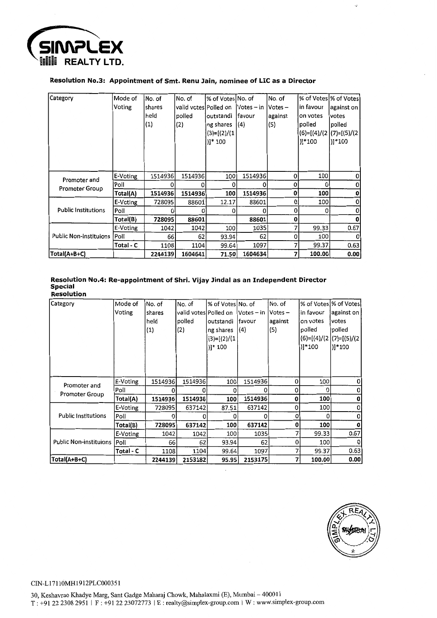

### Resolution No.3: Appointment of Smt. Renu Jain, nominee of LIC as a Director

| Category                      | Mode of   | No. of  | No. of                | ∣% of Votes∣No. of |               | No. of    |              | % of Votes \% of Votes      |
|-------------------------------|-----------|---------|-----------------------|--------------------|---------------|-----------|--------------|-----------------------------|
|                               | Voting    | shares  | valid votes Polled on |                    | $lVotes - in$ | $Votes -$ | in favour    | against on                  |
|                               |           | held    | polled                | outstandi          | lfavour       | against   | on votes     | votes                       |
|                               |           | (1)     | (2)                   | ng shares          | (4)           | (5)       | polled       | polled                      |
|                               |           |         |                       | $(3)=[(2)/(1)$     |               |           |              | $(6)=[(4)/(2)(7)=[(5)/(2)]$ |
|                               |           |         |                       | $)]*100$           |               |           | )1*100       | )]*100                      |
|                               |           |         |                       |                    |               |           |              |                             |
|                               |           |         |                       |                    |               |           |              |                             |
|                               |           |         |                       |                    |               |           |              |                             |
| Promoter and                  | E-Voting  | 1514936 | 1514936               | 100                | 1514936       | 0         | 100          | 0                           |
| <b>Promoter Group</b>         | Poll      |         | 0                     | 0                  | O             | 0         | <sup>0</sup> | 0                           |
|                               | Total(A)  | 1514936 | 1514936               | 100                | 1514936       | 0         | 100          | 0                           |
|                               | E-Voting  | 728095  | 88601                 | 12.17              | 88601         | 0         | 100          | 0                           |
| <b>Public Institutions</b>    | Poll      |         | n                     | n                  | n             | 0         | 0            | 0                           |
|                               | Total(B)  | 728095  | 88601                 |                    | 88601         | 0         |              | o                           |
|                               | E-Voting  | 1042    | 1042                  | 100                | 1035          | 7         | 99.33        | 0.67                        |
| <b>Public Non-instituions</b> | Poll      | 66      | 62                    | 93.94              | 62            | 0         | 100          |                             |
|                               | Total - C | 1108    | 1104                  | 99.64              | 1097          | 7         | 99.37        | 0.63                        |
| Total(A+B+C)                  |           | 2244139 | 1604641               | 71.50              | 1604634       | 7         | 100.00       | 0.00                        |

#### Resolution No.4: Re-appointment of Shri. Vijay lindal as an Independent Director Special **Resolution**

| Category                      | Mode of     | No. of  | No. of                | % of Votes No. of    |              | No. of    | ∣% of Votes∣% of Votesl |                           |
|-------------------------------|-------------|---------|-----------------------|----------------------|--------------|-----------|-------------------------|---------------------------|
|                               | Voting      | shares  | valid votes Polled on |                      | $Votes - in$ | $Votes -$ | in favour               | against on                |
|                               |             | held    | polled                | outstandi            | lfavour      | against   | on votes                | votes                     |
|                               |             | (1)     | (2)                   | ng shares            | (4)          | (5)       | polled                  | polled                    |
|                               |             |         |                       | $(3)=[(2)/(1)$       |              |           |                         | $(6)=[(4)/(2)(7)=[(5)/(2$ |
|                               |             |         |                       | $)$ <sup>*</sup> 100 |              |           | )]*100                  | $)]*100$                  |
|                               |             |         |                       |                      |              |           |                         |                           |
|                               |             |         |                       |                      |              |           |                         |                           |
|                               |             |         |                       |                      |              |           |                         |                           |
| Promoter and                  | E-Voting    | 1514936 | 1514936               | 100                  | 1514936      | 0         | 100                     | 0                         |
| Promoter Group                | Poll        |         | 0                     | Ω                    | n            | 0         | 0                       | o                         |
|                               | Total(A)    | 1514936 | 1514936               | 100                  | 1514936      | 0         | 100                     | 0                         |
|                               | E-Voting    | 728095  | 637142                | 87.51                | 637142       | 0         | 100                     | n                         |
| <b>Public Institutions</b>    | Poll        |         | 0                     |                      |              | 0         |                         |                           |
|                               | Total(B)    | 728095  | 637142                | 100                  | 637142       | $\bf{0}$  | 100                     | o                         |
|                               | E-Voting    | 1042    | 1042                  | 100                  | 1035         |           | 99.33                   | 0.67                      |
| <b>Public Non-instituions</b> | <b>Poll</b> | 66      | 62                    | 93.94                | 62           | 0         | 100                     | 0                         |
|                               | Total - C   | 1108    | 1104                  | 99.64                | 1097         |           | 99.37                   | 0.63                      |
| Total(A+B+C)                  |             | 2244139 | 2153182               | 95.95                | 2153175      | 7         | 100.00                  | 0.00                      |



 $\ddot{\phantom{a}}$ 

CIN-Ll7110MH1912PLC000351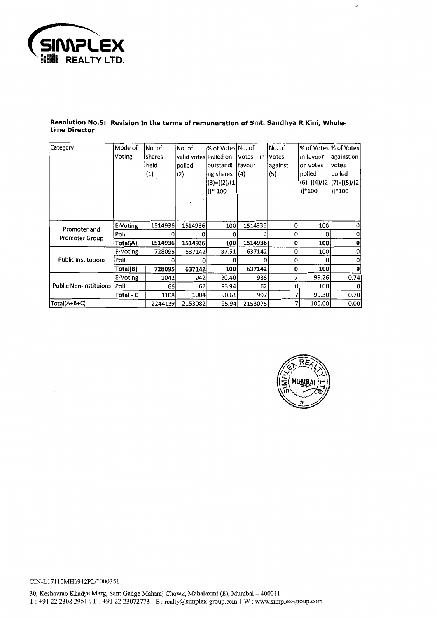

#### **Resolution No.5: Revision in the terms of remuneration of Smt. Sandhya R Kini, Wholetime Director**

| Category                              | Mode of   | lNo. of | No. of                | % of Votes No. of |            | No. of    |           | % of Votes % of Votes      |
|---------------------------------------|-----------|---------|-----------------------|-------------------|------------|-----------|-----------|----------------------------|
|                                       | Voting    | shares  | valid votes Polled on |                   | Votes – in | $Votes -$ | in favour | against on                 |
|                                       |           | held    | polled                | outstandi         | favour     | against   | on votes  | votes                      |
|                                       |           | (1)     | (2)                   | ng shares         | (4)        | (5)       | polled    | polled                     |
|                                       |           |         |                       | $(3)=[(2)/(1)$    |            |           |           | $(6)=[(4)/(2](7)=[(5)/(2)$ |
|                                       |           |         |                       | )]* 100           |            |           | )]*100    | )]*100                     |
|                                       |           |         |                       |                   |            |           |           |                            |
|                                       |           |         |                       |                   |            |           |           |                            |
|                                       |           |         |                       |                   |            |           |           |                            |
|                                       | E-Voting  | 1514936 | 1514936               | 100               | 1514936    | 0         | 100       | 0                          |
| Promoter and<br><b>Promoter Group</b> | Poll      |         | Ω                     |                   |            | 0         |           |                            |
|                                       | Total(A)  | 1514936 | 1514936               | 100               | 1514936    | 0         | 100       | 0                          |
|                                       | E-Voting  | 728095  | 637142                | 87.51             | 637142     | 0         | 100       | 0                          |
| <b>Public Institutions</b>            | Poll      |         | 0                     |                   | O          | 0         | 0         | Ω                          |
|                                       | Total(B)  | 728095  | 637142                | 100               | 637142     | 0         | 100       | 0                          |
|                                       | E-Voting  | 1042    | 942                   | 90.40             | 935        |           | 99.26     | 0.74                       |
| <b>Public Non-instituions</b>         | Poll      | 661     | 62                    | 93.94             | 62         | 0         | 100       |                            |
|                                       | Total - C | 1108    | 1004                  | 90.61             | 997        |           | 99.30     | 0.70                       |
| $Total(A+B+C)$                        |           | 2244139 | 2153082               | 95.94             | 2153075    |           | 100.00    | 0.00                       |



 $\bar{\mathcal{L}}$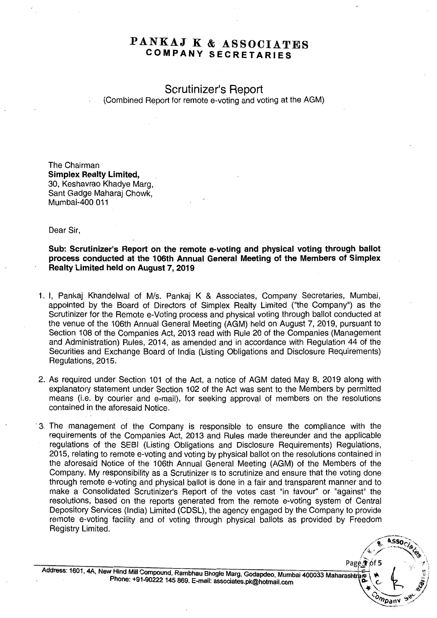# **PANKAJ K & ASSOCIATES COMPANY SECRETARIES**

**Scrutinizer's Report** (Combined Report for remote e-voting and voting at the AGM)

The Chairman **Simplex Realty Limited,** 30, Keshavrao Khadye Marg, Sant Gadge Maharaj Chowk, Mumbai-400 011

Dear Sir,

**Sub: Scrutinizer's Report on the remote e-voting and physical voting through ballot process conducted at the 106th Annual General Meeting of the Members of Simplex Realty Limited held on August 7,2019**

- 1. I, Pankaj Khandelwal of M/s. Pankaj K & Associates, Company Secretaries, Mumbai, appointed by the Soard of Directors of Simplex Realty Limited ("the Company") as the Scrutinizer for the Remote e-Voting process and physical voting through ballot conducted at the venue of the 106th Annual General Meeting (AGM) held on August 7,2019, pursuant to Section 108 of the Companies Act, 2013 read with Rule 20 of the Companies (Management and Administration) Rules, 2014, as amended and in accordance with Regulation 44 of the Securities and Exchange Soard of India (Listing Obligations and Disclosure Requirements) Regulations, 2015.
- 2. As required under Section 101 of the Act, a notice of AGM dated May 8, 2019 along with explanatory statement under Section 102 of the Act was sent to the Members by permitted means (i.e. by courier and e-mail), for seeking approval of members on the resolutions contained in the aforesaid Notice.
- . 3. The management of the Company is responsible to ensure the compliance with the requirements of the Companies Act, 2013 and Rules made thereunder and the applicable regulations of the SESI (Listing Obligations and Disclosure Requirements) Regulations, 2015, relating to remote e-voting and voting by physical ballot on the resolutions contained in the aforesaid Notice of the 106th Annual General Meeting (AGM) of the Members of the Company. My responsibility as a Scrutinizer is to scrutinize and ensure that the voting done through remote e-voting and physical ballot is done in a fair and transparent manner and to make a Consolidated Scrutinizer's Report of the votes cast "in favour" or "against" the resolutions, based on the reports generated from the remote e-voting system of Central Depository Services (India) Limited (CDSL), the agency engaged by the Company to provide remote e-voting facility and of voting through physical ballots as provided by Freedom Registry Limited.

Address: 1601, 4A, New Hind Mill Compound, Rambhau Bhogle Marg. Godandeo Mumbai 400033 Maharashtran ( 3) Page of 5<br>Phone: +91-90222 145 869. E-mail: associates.pk@hotmail.com<br>Phone: +91-90222 145 869. E-mail: associates.pk@hotmail.com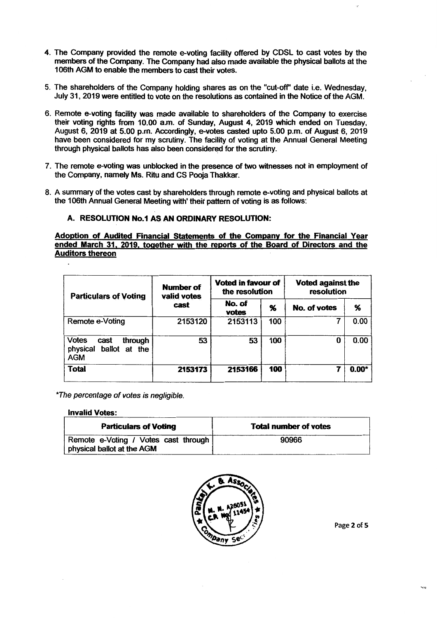- 4. The Company provided the remote e-voting facility offered by CDSL to cast votes by the members of the Company. The Company had also made available the physical ballots at the 106th AGM to enable the members to cast their votes.
- 5. The shareholders of the Company holding shares as on the "cut-off' date i.e. Wednesday, July 31, 2019 were entitled to vote on the resolutions as contained in the Notice of the AGM.
- 6. Remote e-voting facility was made available to shareholders of the Company to exercise their voting rights from 10.00 a.m. of Sunday, August 4, 2019 which ended on Tuesday, August 6,2019 at 5.00 p.m. Accordingly, e-votes casted upto 5.00 p.m. of August 6, 2019 have been considered for my scrutiny. The facility of voting at the Annual General Meeting through physical ballots has also been considered for the scrutiny.
- 7. The remote e-voting was unblocked in the presence of two witnesses not in employment of the Company, namely Ms. Ritu and CS Pooja Thakkar.
- 8. A summary of the votes cast by shareholders through remote e-voting and physical ballots at the 106th Annual General Meeting with' their pattern of voting is as follows:

#### A. RESOLUTION No.1 AS AN ORDINARY RESOLUTION:

Adoption of Audited Financial Statements of the Company for the Financial Year ended March 31. 2019. together with the reports of the Board of Directors and the Auditors thereon

| <b>Particulars of Voting</b>                                        | Number of<br>valid votes | Voted in favour of<br>the resolution |     |              | <b>Voted against the</b><br>resolution |  |
|---------------------------------------------------------------------|--------------------------|--------------------------------------|-----|--------------|----------------------------------------|--|
|                                                                     | cast                     | No. of<br>votes                      | %   | No. of votes | %                                      |  |
| Remote e-Voting                                                     | 2153120                  | 2153113                              | 100 |              | 0.00                                   |  |
| <b>Votes</b><br>through<br>cast<br>ballot at the<br>physical<br>AGM | 53                       | 53                                   | 100 |              | 0.00                                   |  |
| <b>Total</b>                                                        | 2153173                  | 2153166                              | 100 |              | $0.00*$                                |  |

*\*The percentage* of *votes is negligible.*

#### **Invalid Votes:**

| <b>Particulars of Voting</b>                                       | <b>Total number of votes</b> |
|--------------------------------------------------------------------|------------------------------|
| Remote e-Voting / Votes cast through<br>physical ballot at the AGM | 90966                        |



Page 2 of 5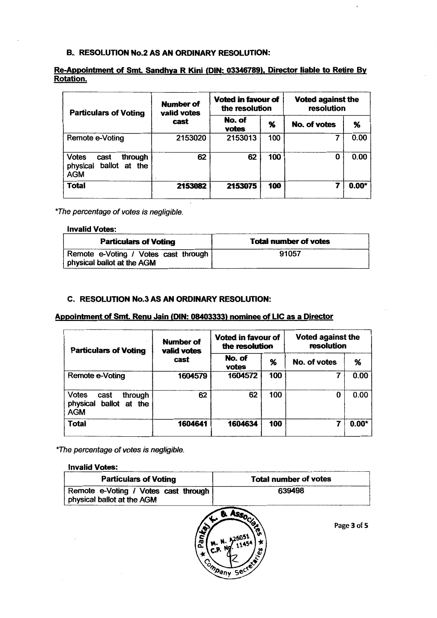### B. RESOLUTION No.2 AS AN ORDINARY RESOLUTION:

# Re-Appointment of Smt. Sandhya R Kini (DIN: 03346789), Director liable to Retire By Rotation.

| <b>Particulars of Voting</b>                                               | Number of<br>valid votes | Voted in favour of<br>the resolution |                   | <b>Voted against the</b><br>resolution |         |
|----------------------------------------------------------------------------|--------------------------|--------------------------------------|-------------------|----------------------------------------|---------|
|                                                                            | cast                     | No. of<br>votes                      | $\boldsymbol{\%}$ | No. of votes<br>O                      | %       |
| Remote e-Voting                                                            | 2153020                  | 2153013                              | 100               |                                        | 0.00    |
| <b>Votes</b><br>through<br>cast<br>ballot at the<br>physical<br><b>AGM</b> | 62                       | 62                                   | 100               |                                        | 0.00    |
| <b>Total</b>                                                               | 2153082                  | 2153075                              | 100               |                                        | $0.00*$ |

*"The percentage* of *votes is negligible.*

#### **Invalid Votes:**

| <b>Particulars of Voting</b>                                       | <b>Total number of votes</b> |
|--------------------------------------------------------------------|------------------------------|
| Remote e-Voting / Votes cast through<br>physical ballot at the AGM | 91057                        |

## c. RESOLUTION No.3 AS AN ORDINARY RESOLUTION:

## Appointment of Smt. Renu Jain (DIN: 08403333) nominee of LIC as a Director

| <b>Particulars of Voting</b>                                        | <b>Number of</b><br>valid votes | Voted in favour of<br>the resolution |     | <b>Voted against the</b><br>resolution |         |  |
|---------------------------------------------------------------------|---------------------------------|--------------------------------------|-----|----------------------------------------|---------|--|
|                                                                     | cast                            | No. of<br>votes                      | %   | No. of votes                           | %       |  |
| Remote e-Voting                                                     | 1604579                         | 1604572                              | 100 |                                        | 0.00    |  |
| Votes<br>through<br>cast<br>ballot at the<br>physical<br><b>AGM</b> | 62                              | 62                                   | 100 |                                        | 0.00    |  |
| Total                                                               | 1604641                         | 1604634                              | 100 |                                        | $0.00*$ |  |

*\*The percentage* of *votes is negligible.*

#### Invalid Votes:



Page 3 of 5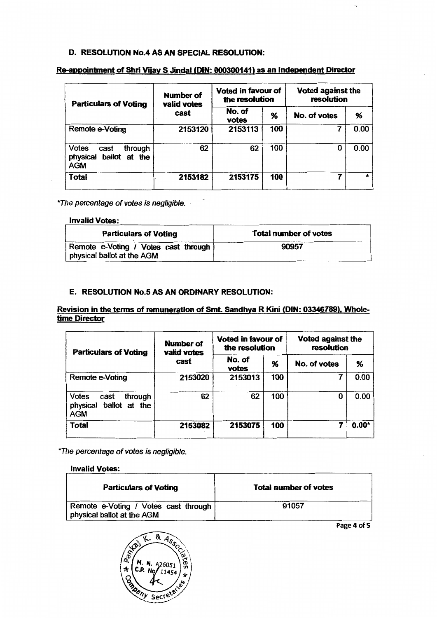## D. RESOLUTION No.4 AS AN SPECIAL RESOLUTION:

# Re-appoinbnent of Shri Vijay S Jindal (DIN: 000300141) as an Independent Director

| <b>Particulars of Voting</b>                                               | Number of<br>valid votes | Voted in favour of<br>the resolution |     | <b>Voted against the</b><br>resolution |         |  |
|----------------------------------------------------------------------------|--------------------------|--------------------------------------|-----|----------------------------------------|---------|--|
|                                                                            | cast                     | No. of<br>votes                      | %   | No. of votes                           | %       |  |
| Remote e-Voting                                                            | 2153120                  | 2153113                              | 100 |                                        | 0.00    |  |
| <b>Votes</b><br>through<br>cast<br>ballot at the<br>physical<br><b>AGM</b> | 62                       | 62                                   | 100 |                                        | 0.00    |  |
| Total                                                                      | 2153182                  | 2153175                              | 100 |                                        | $\star$ |  |

*\*The percentage* of *votes is negligible.*

### Invalid Votes:

| <b>Particulars of Voting</b>                                       | <b>Total number of votes</b> |  |
|--------------------------------------------------------------------|------------------------------|--|
| Remote e-Voting / Votes cast through<br>physical ballot at the AGM | 90957                        |  |

### E. RESOLUTION No.5 AS AN ORDINARY RESOLUTION:

## Revision in the terms of remuneration of Smt. Sandhya R Kini (DIN: 03346789), Wholetime Director

| <b>Particulars of Voting</b>                                     | Number of<br>valid votes | <b>Voted in favour of</b><br>the resolution |     | <b>Voted against the</b><br>resolution |         |
|------------------------------------------------------------------|--------------------------|---------------------------------------------|-----|----------------------------------------|---------|
|                                                                  | cast                     | No. of<br>votes                             | %   | No. of votes                           | %       |
| <b>Remote e-Voting</b>                                           | 2153020                  | 2153013                                     | 100 |                                        | 0.00    |
| Votes<br>through<br>cast<br>physical ballot at the<br><b>AGM</b> | 62                       | 62                                          | 100 |                                        | 0.00    |
| Total                                                            | 2153082                  | 2153075                                     | 100 |                                        | $0.00*$ |

*\*The percentage* of *votes is negligible.*

### **Invalid Votes:**

| <b>Particulars of Voting</b>                                       | <b>Total number of votes</b> |  |  |
|--------------------------------------------------------------------|------------------------------|--|--|
| Remote e-Voting / Votes cast through<br>physical ballot at the AGM | 91057                        |  |  |

Page 4 of 5